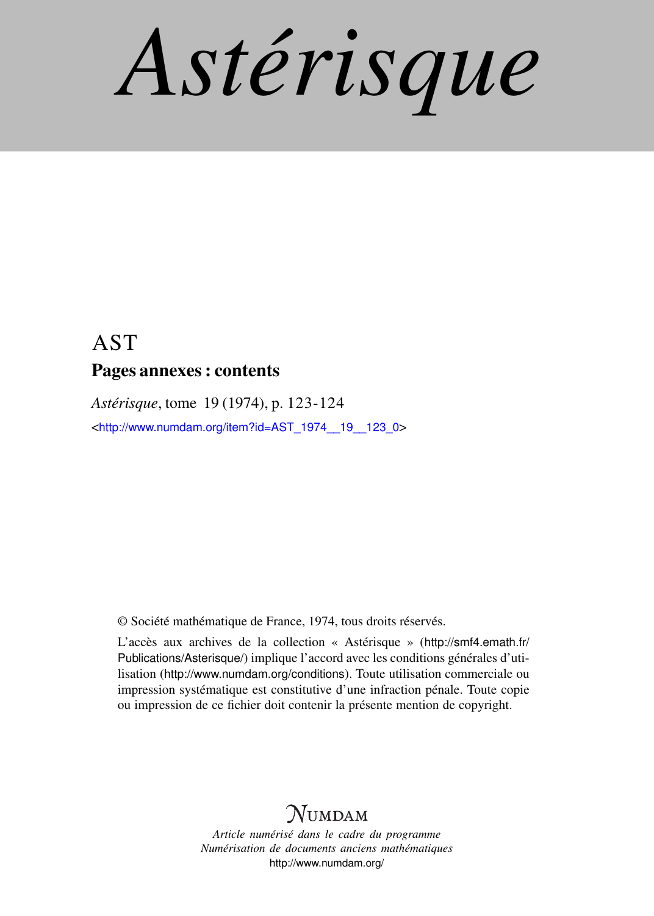*Astérisque*

# AST Pages annexes : contents

*Astérisque*, tome 19 (1974), p. 123-124

<[http://www.numdam.org/item?id=AST\\_1974\\_\\_19\\_\\_123\\_0](http://www.numdam.org/item?id=AST_1974__19__123_0)>

© Société mathématique de France, 1974, tous droits réservés.

L'accès aux archives de la collection « Astérisque » ([http://smf4.emath.fr/](http://smf4.emath.fr/Publications/Asterisque/) [Publications/Asterisque/](http://smf4.emath.fr/Publications/Asterisque/)) implique l'accord avec les conditions générales d'utilisation (<http://www.numdam.org/conditions>). Toute utilisation commerciale ou impression systématique est constitutive d'une infraction pénale. Toute copie ou impression de ce fichier doit contenir la présente mention de copyright.

# **NUMDAM**

*Article numérisé dans le cadre du programme Numérisation de documents anciens mathématiques* <http://www.numdam.org/>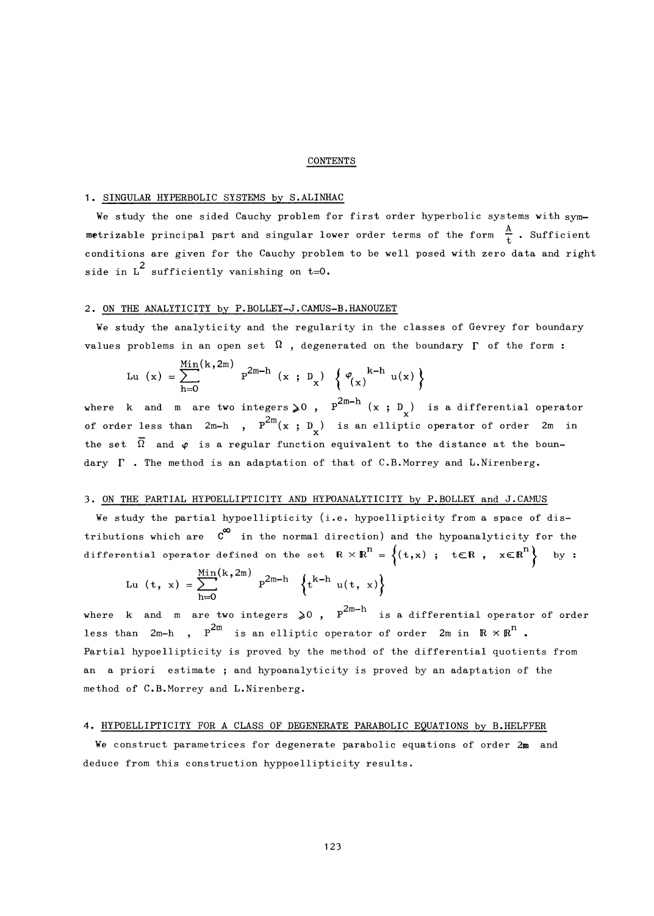#### CONTENTS

# 1. SINGULAR HYPERBOLIC SYSTEMS by S.ALINHAC

We study the one sided Cauchy problem for first order hyperbolic systems with symmetrizable principal part and singular lower order terms of the form  $\frac{A}{I}$ . Sufficient conditions are given for the Cauchy problem to be well posed with zero data and right 2 side in D sufficiently vanishing on  $v=0$ .

#### 2. ON THE ANALYTICITY by P.BOLLEY-J.CAMUS-B.HANOUZET

We study the analyticity and the regularity in the classes of Gevrey for boundary values problems in an open set  $\Omega$ , degenerated on the boundary  $\Gamma$  of the form:

$$
\text{Lu}(x) = \sum_{h=0}^{\text{Min}(k, 2m)} P^{2m-h}(x; D_x) \left\{ \varphi_{(x)}^{k-h}(u(x)) \right\}
$$

where k and m are two integers  $\geqslant$ 0 , P<sup>rm  $\alpha$ </sup> (x ; D ) is a differential operator of order less than  $2m-h$  ,  $P^{-m}(x ; D)$  is an elliptic operator of order  $2m$  in the set  $\overline{\Omega}$  and  $\varphi$  is a regular function equivalent to the distance at the boundary  $\Gamma$  . The method is an adaptation of that of C.B.Morrey and L.Nirenberg.

### 3. ON THE PARTIAL HYPOELLIPTICITY AND HYPOANALYTICITY by P.BOLLEY and J.CAMUS

We study the partial hypoellipticity (i.e. hypoellipticity from a space of distributions which are  $C^{\infty}$  in the normal direction) and the hypoanalyticity for the differential operator defined on the set  $R \times R^n = \{(t,x) ; t \in R, x \in R^n\}$  by :

$$
Lu (t, x) = \sum_{h=0}^{Min(k, 2m)} P^{2m-h} \left\{ t^{k-h} u(t, x) \right\}
$$

where k and m are two integers  $\geqslant 0$ ,  $P^{2m-h}$  is a differential operator of order less than  $2m-h$ ,  $p^{2m}$  is an elliptic operator of order  $2m$  in  $\mathbb{R} \times \mathbb{R}^{n}$ . Partial hypoellipticity is proved by the method of the differential quotients from an a priori estimate ; and hypoanalyticity is proved by an adaptation of the method of C.B.Morrey and L.Nirenberg.

# 4. HYPOELLIPTICITY FOR A CLASS OF DEGENERATE PARABOLIC EQUATIONS by B.HELFFER

We construct parametrices for degenerate parabolic equations of order  $2m$  and deduce from this construction hyppoellipticity results.